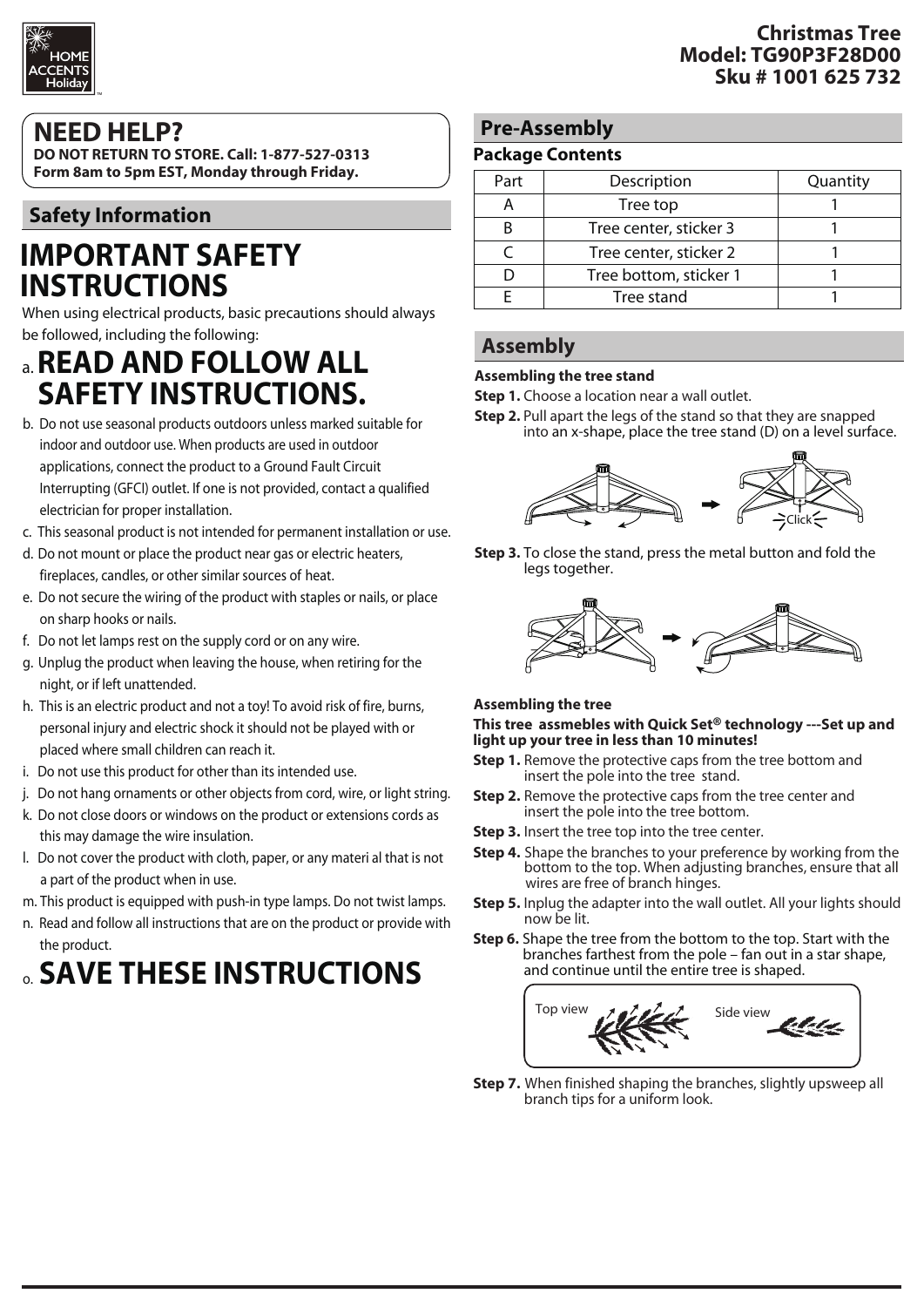

### **NEED HELP?**

**DO NOT RETURN TO STORE. Call: 1-877-527-0313 Form 8am to 5pm EST, Monday through Friday.**

### **Safety Information**

# **IMPORTANT SAFETY INSTRUCTIONS**

When using electrical products, basic precautions should always be followed, including the following:

# a. **READ AND FOLLOW ALL SAFETY INSTRUCTIONS.**

- b. Do not use seasonal products outdoors unless marked suitable for indoor and outdoor use. When products are used in outdoor applications, connect the product to a Ground Fault Circuit Interrupting (GFCI) outlet. If one is not provided, contact a qualified electrician for proper installation.
- c. This seasonal product is not intended for permanent installation or use.
- d. Do not mount or place the product near gas or electric heaters, fireplaces, candles, or other similar sources of heat.
- e. Do not secure the wiring of the product with staples or nails, or place on sharp hooks or nails.
- f. Do not let lamps rest on the supply cord or on any wire.
- g. Unplug the product when leaving the house, when retiring for the night, or if left unattended.
- h. This is an electric product and not a toy! To avoid risk of fire, burns, personal injury and electric shock it should not be played with or placed where small children can reach it.
- i. Do not use this product for other than its intended use.
- j. Do not hang ornaments or other objects from cord, wire, or light string.
- k. Do not close doors or windows on the product or extensions cords as this may damage the wire insulation.
- l. Do not cover the product with cloth, paper, or any materi al that is not a part of the product when in use.
- m. This product is equipped with push-in type lamps. Do not twist lamps.
- n. Read and follow all instructions that are on the product or provide with the product.

# o. **SAVE THESE INSTRUCTIONS**

### **Pre-Assembly**

#### **Package Contents**

| Part | Description            | Quantity |
|------|------------------------|----------|
|      | Tree top               |          |
|      | Tree center, sticker 3 |          |
|      | Tree center, sticker 2 |          |
|      | Tree bottom, sticker 1 |          |
|      | Tree stand             |          |

### **Assembly**

#### **Assembling the tree stand**

**Step 1.** Choose a location near a wall outlet.

**Step 2.** Pull apart the legs of the stand so that they are snapped into an x-shape, place the tree stand (D) on a level surface.



**Step 3.** To close the stand, press the metal button and fold the legs together.



#### **Assembling the tree**

#### **This tree assmebles with Quick Set® technology ---Set up and light up your tree in less than 10 minutes!**

- **Step 1.** Remove the protective caps from the tree bottom and insert the pole into the tree stand.
- **Step 2.** Remove the protective caps from the tree center and insert the pole into the tree bottom.
- **Step 3.** Insert the tree top into the tree center.
- **Step 4.** Shape the branches to your preference by working from the bottom to the top. When adjusting branches, ensure that all wires are free of branch hinges.
- **Step 5.** Inplug the adapter into the wall outlet. All your lights should now be lit.
- **Step 6.** Shape the tree from the bottom to the top. Start with the branches farthest from the pole fan out in a star shape, and continue until the entire tree is shaped.



**Step 7.** When finished shaping the branches, slightly upsweep all branch tips for a uniform look.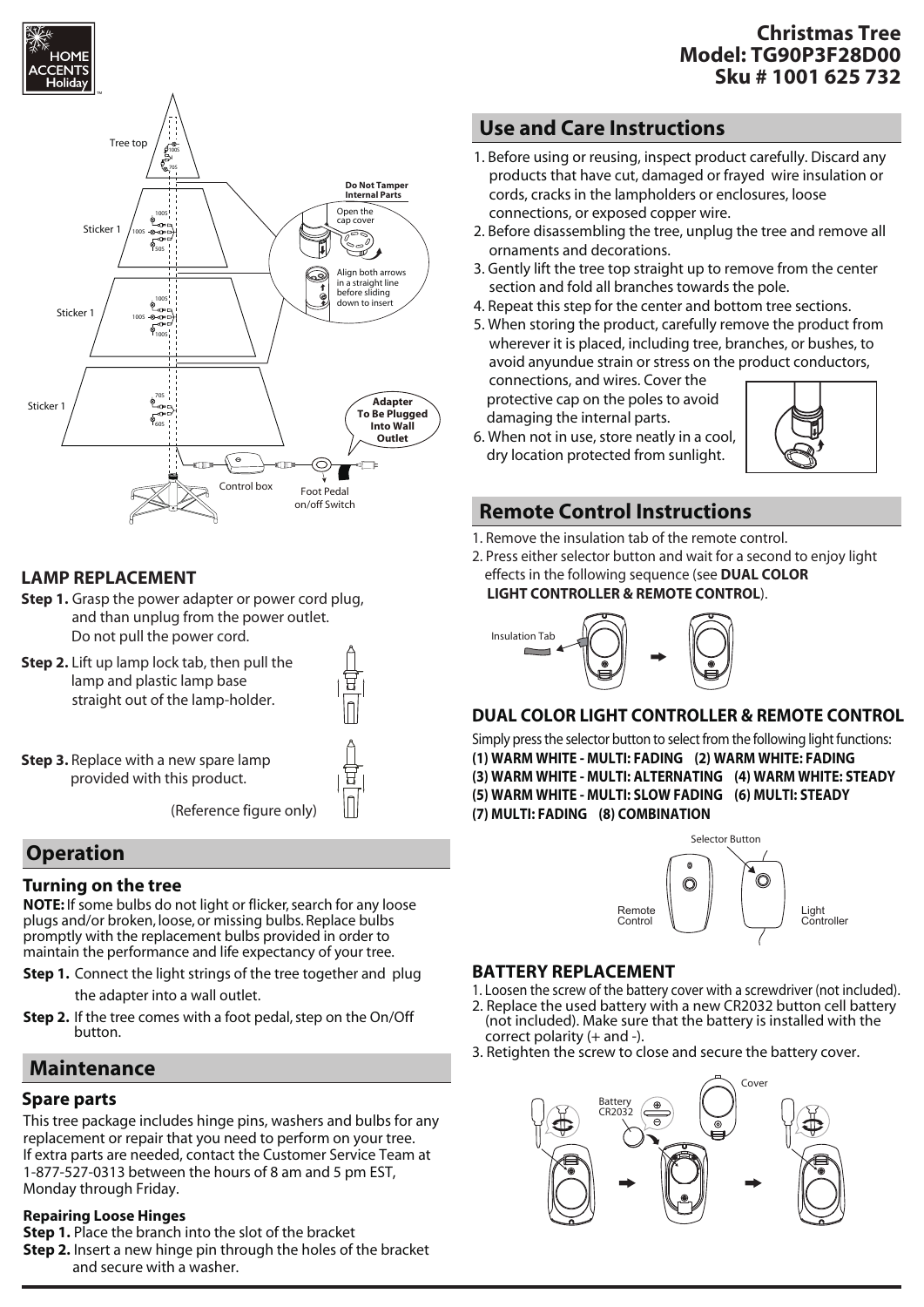



#### **LAMP REPLACEMENT**

- **Step 1.** Grasp the power adapter or power cord plug, and than unplug from the power outlet. Do not pull the power cord.
- **Step 2.** Lift up lamp lock tab, then pull the lamp and plastic lamp base straight out of the lamp-holder.



**Step 3.** Replace with a new spare lamp provided with this product.

(Reference figure only)

### **Operation**

#### **Turning on the tree**

**NOTE:** If some bulbs do not light or flicker, search for any loose plugs and/or broken, loose, or missing bulbs. Replace bulbs promptly with the replacement bulbs provided in order to maintain the performance and life expectancy of your tree.

**Step 1.** Connect the light strings of the tree together and plug

the adapter into a wall outlet.

**Step 2.** If the tree comes with a foot pedal, step on the On/Off button.

### **Maintenance**

#### **Spare parts**

This tree package includes hinge pins, washers and bulbs for any replacement or repair that you need to perform on your tree. If extra parts are needed, contact the Customer Service Team at 1-877-527-0313 between the hours of 8 am and 5 pm EST, Monday through Friday.

#### **Repairing Loose Hinges**

- **Step 1.** Place the branch into the slot of the bracket
- **Step 2.** Insert a new hinge pin through the holes of the bracket and secure with a washer.

#### **Christmas Tree Model: TG90P3F28D00 Sku # 1001 625 732**

### **Use and Care Instructions**

- 1. Before using or reusing, inspect product carefully. Discard any products that have cut, damaged or frayed wire insulation or cords, cracks in the lampholders or enclosures, loose connections, or exposed copper wire.
- 2. Before disassembling the tree, unplug the tree and remove all ornaments and decorations.
- 3. Gently lift the tree top straight up to remove from the center section and fold all branches towards the pole.
- 4. Repeat this step for the center and bottom tree sections.
- 5. When storing the product, carefully remove the product from wherever it is placed, including tree, branches, or bushes, to avoid anyundue strain or stress on the product conductors,

connections, and wires. Cover the protective cap on the poles to avoid damaging the internal parts.



6. When not in use, store neatly in a cool, dry location protected from sunlight.

### **Remote Control Instructions**

- 1. Remove the insulation tab of the remote control.
- 2. Press either selector button and wait for a second to enjoy light effects in the following sequence (see **DUAL COLOR**





#### **DUAL COLOR LIGHT CONTROLLER & REMOTE CONTROL**

Simply press the selector button to select from the following light functions: **(1) WARM WHITE - MULTI: FADING (2) WARM WHITE: FADING (3) WARM WHITE - MULTI: ALTERNATING (4) WARM WHITE: STEADY (5) WARM WHITE - MULTI: SLOW FADING (6) MULTI: STEADY (7) MULTI: FADING (8) COMBINATION**



#### **BATTERY REPLACEMENT**

- 1. Loosen the screw of the battery cover with a screwdriver (not included).
- 2. Replace the used battery with a new CR2032 button cell battery (not included). Make sure that the battery is installed with the correct polarity (+ and -).
- 3. Retighten the screw to close and secure the battery cover.